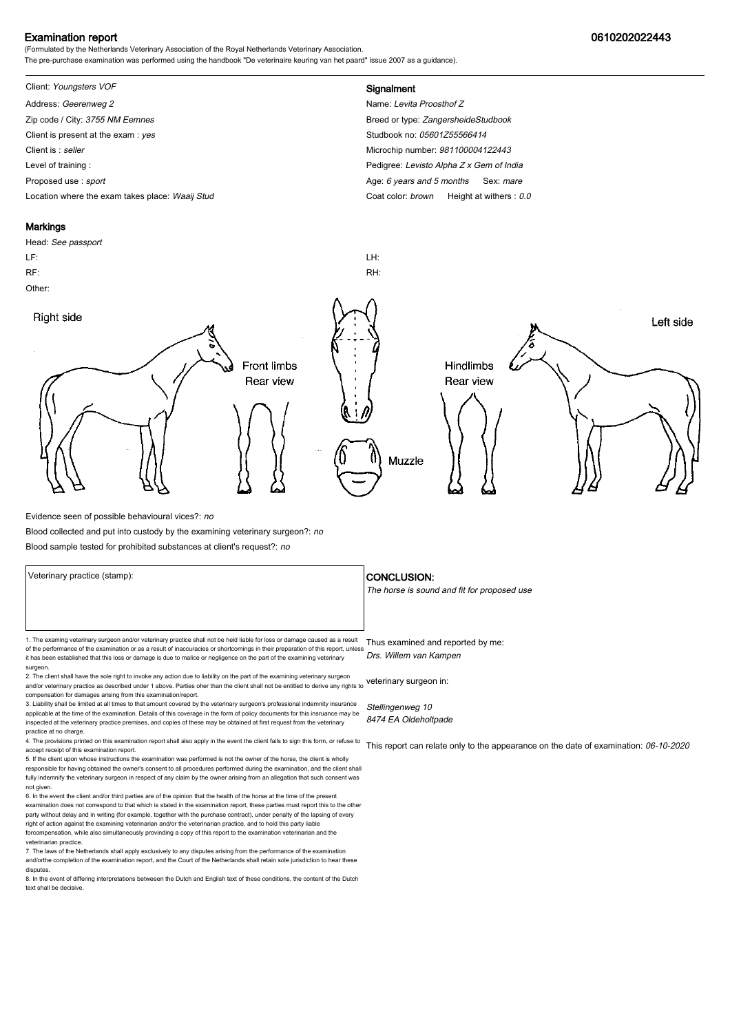#### Examination report 0610202022443

(Formulated by the Netherlands Veterinary Association of the Royal Netherlands Veterinary Association. The pre-purchase examination was performed using the handbook "De veterinaire keuring van het paard" issue 2007 as a guidance).

## Client: Youngsters VOF **Signalment**

Address: Geerenweg 2 Name: Levita Proosthof Z Zip code / City: 3755 NM Eemnes Breed or type: ZangersheideStudbook Client is present at the exam : yes Studbook no: 05601Z55566414 Client is : seller **Client is : seller** Microchip number: 981100004122443 Level of training : Level of training : Level of training : Pedigree: Levisto Alpha Z x Gem of India Proposed use : sport **Age: 6 years and 5 months Sex: mare** Age: 6 years and 5 months Sex: mare Location where the exam takes place: Waaij Stud Coat Color: brown Height at withers : 0.0

#### **Markings**

# Head: See passport LF: LH: RF: RH: Other: Right side Left side **Front limbs** Hindlimbs Rear view Rear view Muzzle

Evidence seen of possible behavioural vices?: no

Blood collected and put into custody by the examining veterinary surgeon?: no

Blood sample tested for prohibited substances at client's request?: no

Veterinary practice (stamp):  $\overline{\phantom{a}}$  CONCLUSION: 1. The examing veterinary surgeon and/or veterinary practice shall not be held liable for loss or damage caused as a result Thus examined and reported by me: of the performance of the examination or as a result of inaccuracies or shortcomings in their preparation of this report, unless it has been established that this loss or damage is due to malice or negligence on the part of the examining veterinary surgeon. 2. The client shall have the sole right to invoke any action due to liability on the part of the examining veterinary surgeon and/or veterinary practice as described under 1 above. Parties oher than the client shall not be entitled to derive any rights to veterinary surgeon in: Drs. Willem van Kampen

compensation for damages arising from this examination/report. 3. Liability shall be limited at all times to that amount covered by the veterinary surgeon's professional indemnity insurance

applicable at the time of the examination. Details of this coverage in the form of policy documents for this insruance may be inspected at the veterinary practice premises, and copies of these may be obtained at first request from the veterinary practice at no charge.

4. The provisions printed on this examination report shall also apply in the event the client fails to sign this form, or refuse to accept receipt of this examination report. 5. If the client upon whose instructions the examination was performed is not the owner of the horse, the client is wholly

responsible for having obtained the owner's consent to all procedures performed during the examination, and the client shall fully indemnify the veterinary surgeon in respect of any claim by the owner arising from an allegation that such consent was not given.

6. In the event the client and/or third parties are of the opinion that the health of the horse at the time of the present examination does not correspond to that which is stated in the examination report, these parties must report this to the other party without delay and in writing (for example, together with the purchase contract), under penalty of the lapsing of every<br>right of action against the examining veterinarian and/or the veterinarian practice, and to hold forcompensation, while also simultaneously provinding a copy of this report to the examination veterinarian and th veterinarian practice.

7. The laws of the Netherlands shall apply exclusively to any disputes arising from the performance of the examination and/orthe completion of the examination report, and the Court of the Netherlands shall retain sole jurisdiction to hear these disputes.

8. In the event of differing interpretations betweeen the Dutch and English text of these conditions, the content of the Dutch text shall be decisive.

The horse is sound and fit for proposed use

Stellingenweg 10 8474 EA Oldeholtpade

This report can relate only to the appearance on the date of examination: 06-10-2020